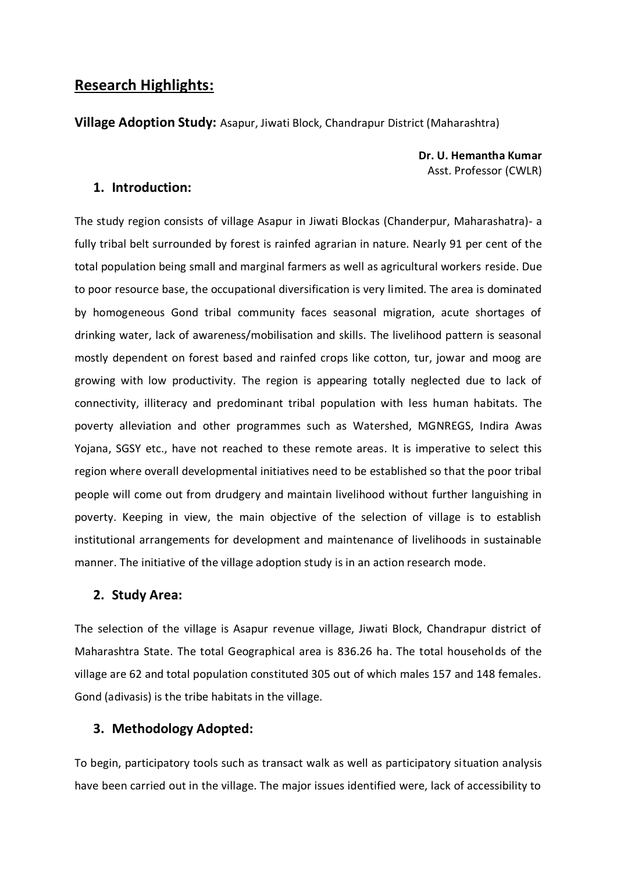# **Research Highlights:**

**Village Adoption Study:** Asapur, Jiwati Block, Chandrapur District (Maharashtra)

**Dr. U. Hemantha Kumar** Asst. Professor (CWLR)

## **1. Introduction:**

The study region consists of village Asapur in Jiwati Blockas (Chanderpur, Maharashatra)- a fully tribal belt surrounded by forest is rainfed agrarian in nature. Nearly 91 per cent of the total population being small and marginal farmers as well as agricultural workers reside. Due to poor resource base, the occupational diversification is very limited. The area is dominated by homogeneous Gond tribal community faces seasonal migration, acute shortages of drinking water, lack of awareness/mobilisation and skills. The livelihood pattern is seasonal mostly dependent on forest based and rainfed crops like cotton, tur, jowar and moog are growing with low productivity. The region is appearing totally neglected due to lack of connectivity, illiteracy and predominant tribal population with less human habitats. The poverty alleviation and other programmes such as Watershed, MGNREGS, Indira Awas Yojana, SGSY etc., have not reached to these remote areas. It is imperative to select this region where overall developmental initiatives need to be established so that the poor tribal people will come out from drudgery and maintain livelihood without further languishing in poverty. Keeping in view, the main objective of the selection of village is to establish institutional arrangements for development and maintenance of livelihoods in sustainable manner. The initiative of the village adoption study is in an action research mode.

### **2. Study Area:**

The selection of the village is Asapur revenue village, Jiwati Block, Chandrapur district of Maharashtra State. The total Geographical area is 836.26 ha. The total households of the village are 62 and total population constituted 305 out of which males 157 and 148 females. Gond (adivasis) is the tribe habitats in the village.

### **3. Methodology Adopted:**

To begin, participatory tools such as transact walk as well as participatory situation analysis have been carried out in the village. The major issues identified were, lack of accessibility to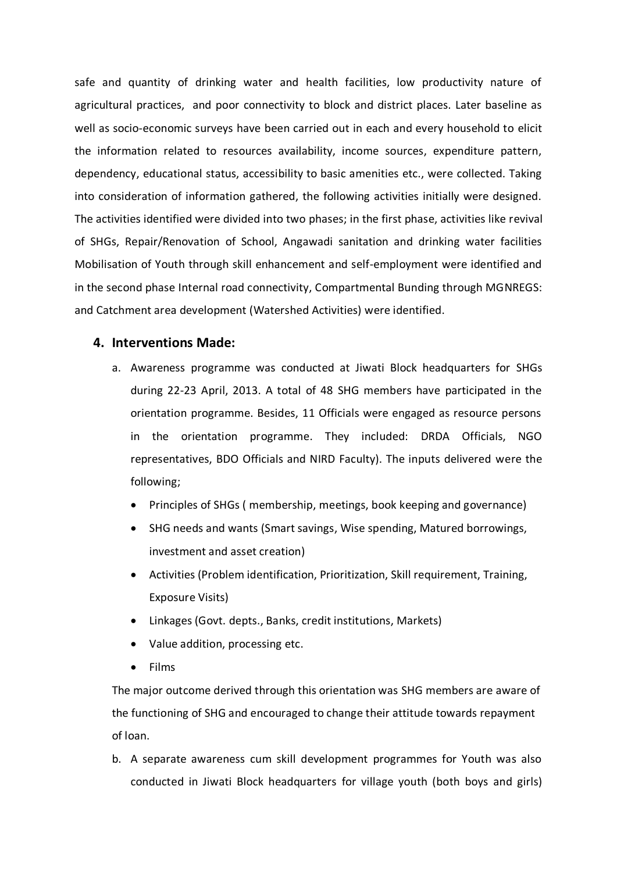safe and quantity of drinking water and health facilities, low productivity nature of agricultural practices, and poor connectivity to block and district places. Later baseline as well as socio-economic surveys have been carried out in each and every household to elicit the information related to resources availability, income sources, expenditure pattern, dependency, educational status, accessibility to basic amenities etc., were collected. Taking into consideration of information gathered, the following activities initially were designed. The activities identified were divided into two phases; in the first phase, activities like revival of SHGs, Repair/Renovation of School, Angawadi sanitation and drinking water facilities Mobilisation of Youth through skill enhancement and self-employment were identified and in the second phase Internal road connectivity, Compartmental Bunding through MGNREGS: and Catchment area development (Watershed Activities) were identified.

### **4. Interventions Made:**

- a. Awareness programme was conducted at Jiwati Block headquarters for SHGs during 22-23 April, 2013. A total of 48 SHG members have participated in the orientation programme. Besides, 11 Officials were engaged as resource persons in the orientation programme. They included: DRDA Officials, NGO representatives, BDO Officials and NIRD Faculty). The inputs delivered were the following;
	- Principles of SHGs ( membership, meetings, book keeping and governance)
	- SHG needs and wants (Smart savings, Wise spending, Matured borrowings, investment and asset creation)
	- Activities (Problem identification, Prioritization, Skill requirement, Training, Exposure Visits)
	- Linkages (Govt. depts., Banks, credit institutions, Markets)
	- Value addition, processing etc.
	- Films

The major outcome derived through this orientation was SHG members are aware of the functioning of SHG and encouraged to change their attitude towards repayment of loan.

b. A separate awareness cum skill development programmes for Youth was also conducted in Jiwati Block headquarters for village youth (both boys and girls)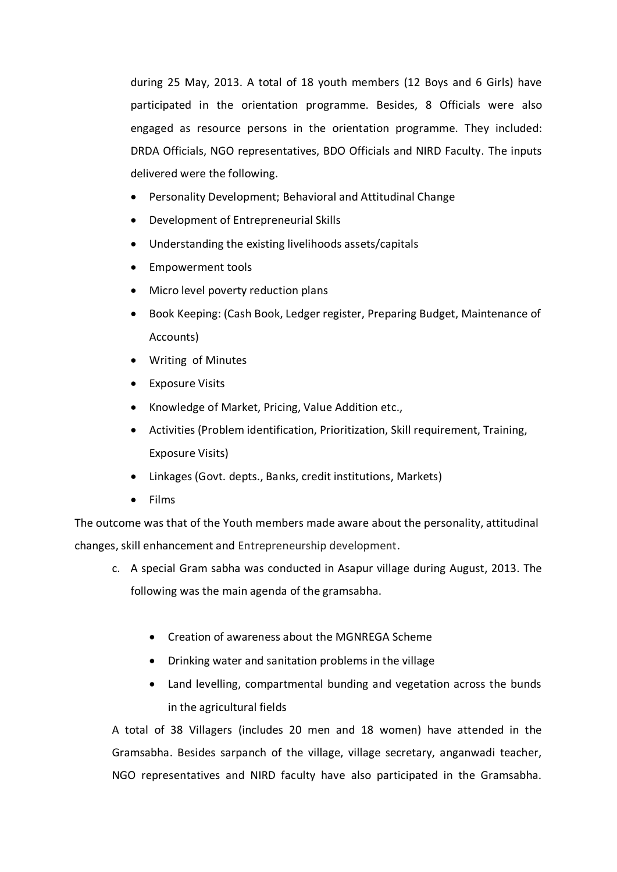during 25 May, 2013. A total of 18 youth members (12 Boys and 6 Girls) have participated in the orientation programme. Besides, 8 Officials were also engaged as resource persons in the orientation programme. They included: DRDA Officials, NGO representatives, BDO Officials and NIRD Faculty. The inputs delivered were the following.

- Personality Development; Behavioral and Attitudinal Change
- Development of Entrepreneurial Skills
- Understanding the existing livelihoods assets/capitals
- Empowerment tools
- Micro level poverty reduction plans
- Book Keeping: (Cash Book, Ledger register, Preparing Budget, Maintenance of Accounts)
- Writing of Minutes
- Exposure Visits
- Knowledge of Market, Pricing, Value Addition etc.,
- Activities (Problem identification, Prioritization, Skill requirement, Training, Exposure Visits)
- Linkages (Govt. depts., Banks, credit institutions, Markets)
- Films

The outcome was that of the Youth members made aware about the personality, attitudinal changes, skill enhancement and Entrepreneurship development.

- c. A special Gram sabha was conducted in Asapur village during August, 2013. The following was the main agenda of the gramsabha.
	- Creation of awareness about the MGNREGA Scheme
	- Drinking water and sanitation problems in the village
	- Land levelling, compartmental bunding and vegetation across the bunds in the agricultural fields

A total of 38 Villagers (includes 20 men and 18 women) have attended in the Gramsabha. Besides sarpanch of the village, village secretary, anganwadi teacher, NGO representatives and NIRD faculty have also participated in the Gramsabha.